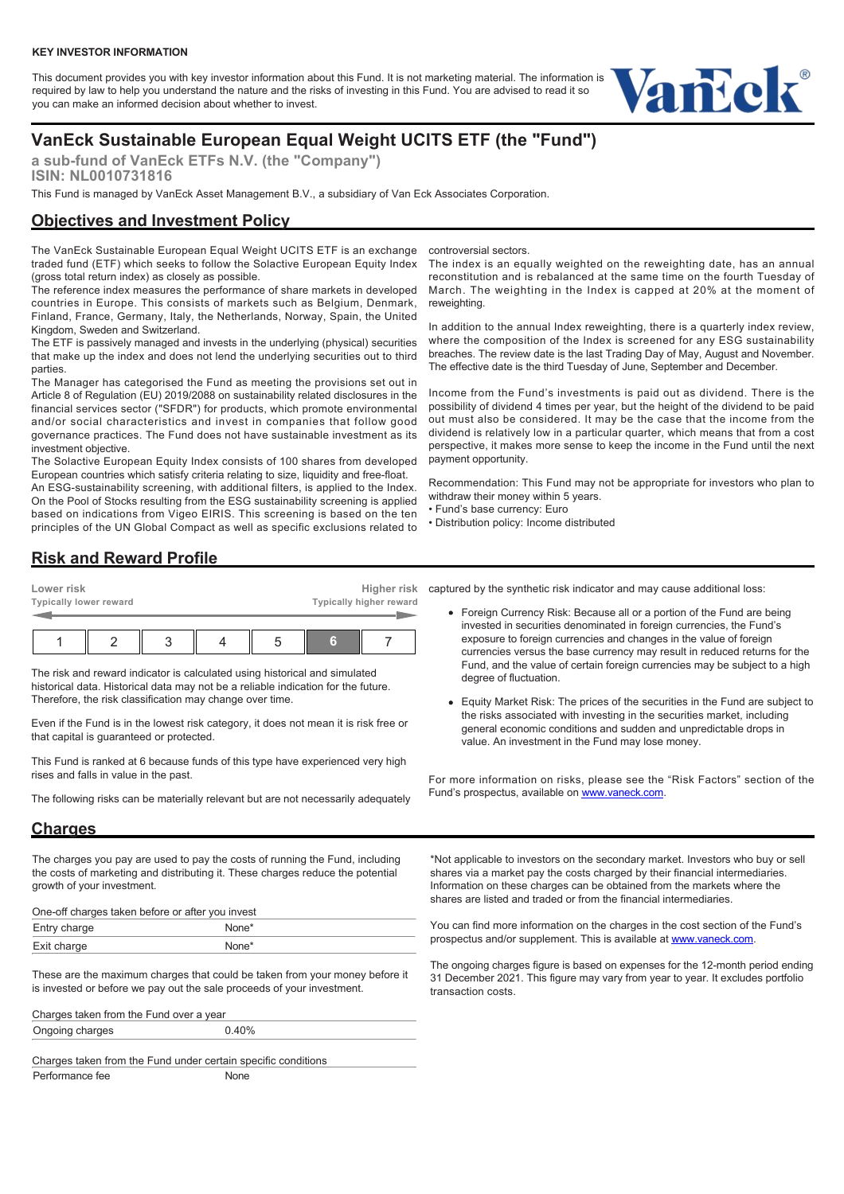This document provides you with key investor information about this Fund. It is not marketing material. The information is required by law to help you understand the nature and the risks of investing in this Fund. You are advised to read it so you can make an informed decision about whether to invest.



# **VanEck Sustainable European Equal Weight UCITS ETF (the "Fund")**

**a sub-fund of VanEck ETFs N.V. (the "Company") ISIN: NL0010731816**

This Fund is managed by VanEck Asset Management B.V., a subsidiary of Van Eck Associates Corporation.

#### **Objectives and Investment Policy**

The VanEck Sustainable European Equal Weight UCITS ETF is an exchange traded fund (ETF) which seeks to follow the Solactive European Equity Index (gross total return index) as closely as possible.

The reference index measures the performance of share markets in developed countries in Europe. This consists of markets such as Belgium, Denmark, Finland, France, Germany, Italy, the Netherlands, Norway, Spain, the United Kingdom, Sweden and Switzerland.

The ETF is passively managed and invests in the underlying (physical) securities that make up the index and does not lend the underlying securities out to third parties.

The Manager has categorised the Fund as meeting the provisions set out in Article 8 of Regulation (EU) 2019/2088 on sustainability related disclosures in the financial services sector ("SFDR") for products, which promote environmental and/or social characteristics and invest in companies that follow good governance practices. The Fund does not have sustainable investment as its investment objective.

The Solactive European Equity Index consists of 100 shares from developed European countries which satisfy criteria relating to size, liquidity and free-float.

An ESG-sustainability screening, with additional filters, is applied to the Index. On the Pool of Stocks resulting from the ESG sustainability screening is applied based on indications from Vigeo EIRIS. This screening is based on the ten principles of the UN Global Compact as well as specific exclusions related to

controversial sectors.

The index is an equally weighted on the reweighting date, has an annual reconstitution and is rebalanced at the same time on the fourth Tuesday of March. The weighting in the Index is capped at 20% at the moment of reweighting.

In addition to the annual Index reweighting, there is a quarterly index review, where the composition of the Index is screened for any ESG sustainability breaches. The review date is the last Trading Day of May, August and November. The effective date is the third Tuesday of June, September and December.

Income from the Fund's investments is paid out as dividend. There is the possibility of dividend 4 times per year, but the height of the dividend to be paid out must also be considered. It may be the case that the income from the dividend is relatively low in a particular quarter, which means that from a cost perspective, it makes more sense to keep the income in the Fund until the next payment opportunity.

Recommendation: This Fund may not be appropriate for investors who plan to withdraw their money within 5 years.

- Fund's base currency: Euro
- Distribution policy: Income distributed

## **Risk and Reward Profile**

| Lower risk             |  |  |  |  |   | Higher risk             |  |  |  |
|------------------------|--|--|--|--|---|-------------------------|--|--|--|
| Typically lower reward |  |  |  |  |   | Typically higher reward |  |  |  |
|                        |  |  |  |  |   |                         |  |  |  |
|                        |  |  |  |  | G |                         |  |  |  |

The risk and reward indicator is calculated using historical and simulated historical data. Historical data may not be a reliable indication for the future. Therefore, the risk classification may change over time.

Even if the Fund is in the lowest risk category, it does not mean it is risk free or that capital is guaranteed or protected.

This Fund is ranked at 6 because funds of this type have experienced very high rises and falls in value in the past.

The following risks can be materially relevant but are not necessarily adequately

### **Charges**

The charges you pay are used to pay the costs of running the Fund, including the costs of marketing and distributing it. These charges reduce the potential growth of your investment.

| One-off charges taken before or after you invest |                   |  |  |  |  |  |
|--------------------------------------------------|-------------------|--|--|--|--|--|
| Entry charge                                     | None <sup>*</sup> |  |  |  |  |  |
| Exit charge                                      | None <sup>*</sup> |  |  |  |  |  |

These are the maximum charges that could be taken from your money before it is invested or before we pay out the sale proceeds of your investment.

| Charges taken from the Fund over a year |       |  |  |  |  |
|-----------------------------------------|-------|--|--|--|--|
| Ongoing charges                         | 0.40% |  |  |  |  |
|                                         |       |  |  |  |  |

Charges taken from the Fund under certain specific conditions Performance fee None

captured by the synthetic risk indicator and may cause additional loss:

- Foreign Currency Risk: Because all or a portion of the Fund are being invested in securities denominated in foreign currencies, the Fund's exposure to foreign currencies and changes in the value of foreign currencies versus the base currency may result in reduced returns for the Fund, and the value of certain foreign currencies may be subject to a high degree of fluctuation.
- Equity Market Risk: The prices of the securities in the Fund are subject to the risks associated with investing in the securities market, including general economic conditions and sudden and unpredictable drops in value. An investment in the Fund may lose money.

For more information on risks, please see the "Risk Factors" section of the Fund's prospectus, available on [www.vaneck.com.](https://www.vaneck.com)

\*Not applicable to investors on the secondary market. Investors who buy or sell shares via a market pay the costs charged by their financial intermediaries. Information on these charges can be obtained from the markets where the shares are listed and traded or from the financial intermediaries.

You can find more information on the charges in the cost section of the Fund's prospectus and/or supplement. This is available at [www.vaneck.com](https://www.vaneck.com).

The ongoing charges figure is based on expenses for the 12-month period ending 31 December 2021. This figure may vary from year to year. It excludes portfolio transaction costs.